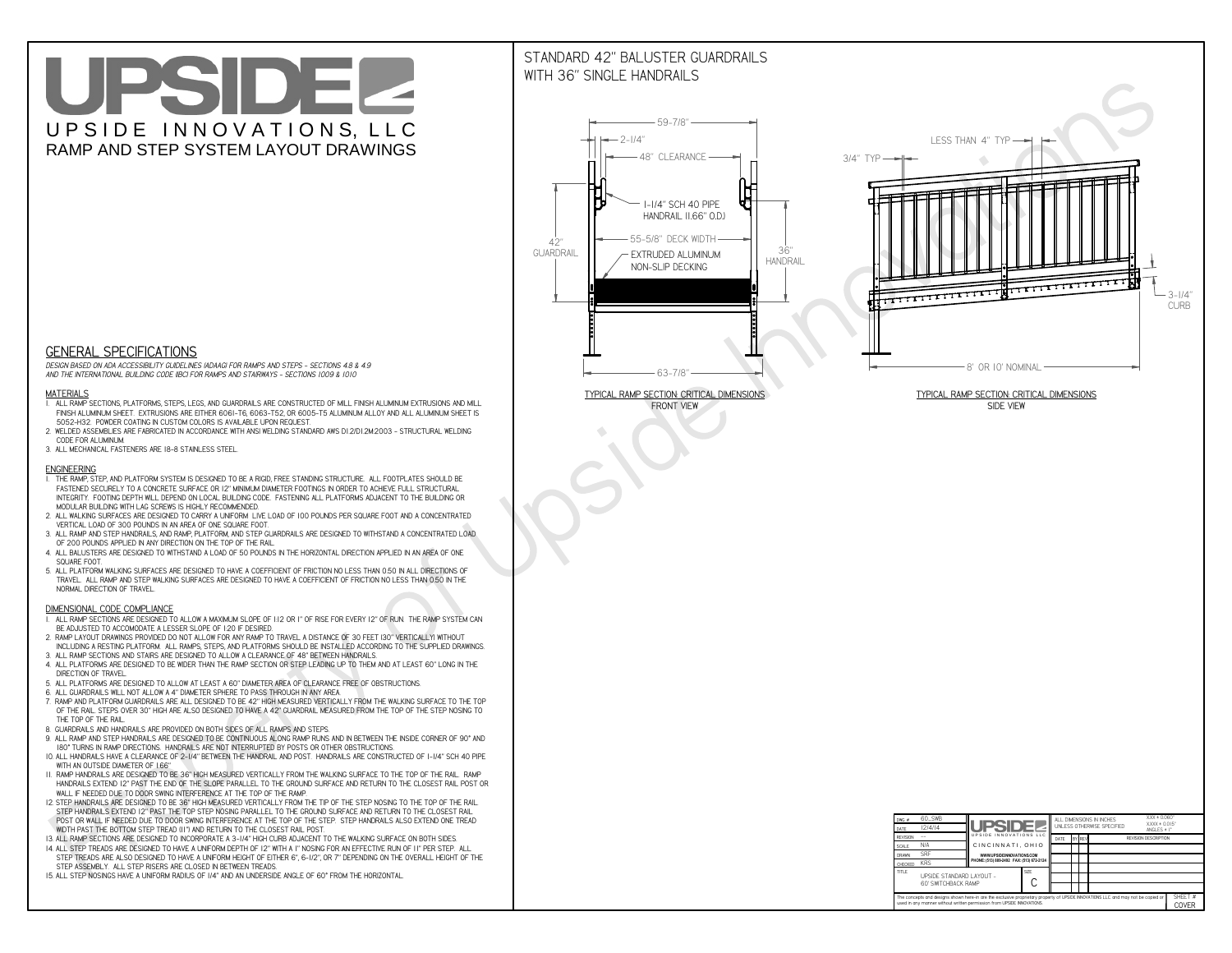# UPSIDEL UPSIDE INNOVATIONS, LLC RAMP AND STEP SYSTEM LAYOUT DRAWINGS

## STANDARD 42" BALUSTER GUARDRAILSWITH 36" SINGLE HANDRAILS

**FRONT VIEW**





**GENERAL SPECIFICATIONS**

 *DESIGN BASED ON ADA ACCESSIBILITY GUIDELINES (ADAAG) FOR RAMPS AND STEPS - SECTIONS 4.8 & 4.9AND THE INTERNATIONAL BUILDING CODE (IBC) FOR RAMPS AND STAIRWAYS - SECTIONS 1009 & 1010*

#### **MATERIALS**

- **1. ALL RAMP SECTIONS, PLATFORMS, STEPS, LEGS, AND GUARDRAILS ARE CONSTRUCTED OF MILL FINISH ALUMINUM EXTRUSIONS AND MILL FINISH ALUMINUM SHEET. EXTRUSIONS ARE EITHER 6061-T6, 6063-T52, OR 6005-T5 ALUMINUM ALLOY AND ALL ALUMINUM SHEET IS 5052-H32. POWDER COATING IN CUSTOM COLORS IS AVAILABLE UPON REQUEST.**
- **2. WELDED ASSEMBLIES ARE FABRICATED IN ACCORDANCE WITH ANSI WELDING STANDARD AWS D1.2/D1.2M:2003 STRUCTURAL WELDING CODE FOR ALUMINUM.**
- **3. ALL MECHANICAL FASTENERS ARE 18-8 STAINLESS STEEL.**

#### **ENGINEERING**

- **1. THE RAMP, STEP, AND PLATFORM SYSTEM IS DESIGNED TO BE A RIGID, FREE STANDING STRUCTURE. ALL FOOTPLATES SHOULD BE FASTENED SECURELY TO A CONCRETE SURFACE OR 12" MINIMUM DIAMETER FOOTINGS IN ORDER TO ACHIEVE FULL STRUCTURAL INTEGRITY. FOOTING DEPTH WILL DEPEND ON LOCAL BUILDING CODE. FASTENING ALL PLATFORMS ADJACENT TO THE BUILDING OR MODULAR BUILDING WITH LAG SCREWS IS HIGHLY RECOMMENDED.**
- **2. ALL WALKING SURFACES ARE DESIGNED TO CARRY A UNIFORM LIVE LOAD OF 100 POUNDS PER SQUARE FOOT AND A CONCENTRATED VERTICAL LOAD OF 300 POUNDS IN AN AREA OF ONE SQUARE FOOT.**
- **3. ALL RAMP AND STEP HANDRAILS, AND RAMP, PLATFORM, AND STEP GUARDRAILS ARE DESIGNED TO WITHSTAND A CONCENTRATED LOAD OF 200 POUNDS APPLIED IN ANY DIRECTION ON THE TOP OF THE RAIL.**
- **4. ALL BALUSTERS ARE DESIGNED TO WITHSTAND A LOAD OF 50 POUNDS IN THE HORIZONTAL DIRECTION APPLIED IN AN AREA OF ONE SQUARE FOOT.**
- **5. ALL PLATFORM WALKING SURFACES ARE DESIGNED TO HAVE A COEFFICIENT OF FRICTION NO LESS THAN 0.50 IN ALL DIRECTIONS OF TRAVEL. ALL RAMP AND STEP WALKING SURFACES ARE DESIGNED TO HAVE A COEFFICIENT OF FRICTION NO LESS THAN 0.50 IN THE NORMAL DIRECTION OF TRAVEL.**

| $DWG.$ #<br>DATE                                                                                                                                                                                            | 60_SWB<br>12/4/14                               | UPSIDEL                                                                                                              |             | ALL DIMENSIONS IN INCHES<br>UNI FSS OTHERWISE SPECIFIED |                                              |  |  | $XXX = 0.060"$<br>$XXX \pm 0.015$ "<br>ANGLES $\pm$ 1° |                  |
|-------------------------------------------------------------------------------------------------------------------------------------------------------------------------------------------------------------|-------------------------------------------------|----------------------------------------------------------------------------------------------------------------------|-------------|---------------------------------------------------------|----------------------------------------------|--|--|--------------------------------------------------------|------------------|
| <b>REVISION</b>                                                                                                                                                                                             |                                                 | UPSIDE INNOVATIONS LLC<br>CINCINNATI, OHIO<br>WWW.UPSIDEINNOVATIONS.COM<br>PHONE: (513) 889-2492 FAX: (513) 672-2124 |             | DATE                                                    | <b>BY REV</b><br><b>REVISION DESCRIPTION</b> |  |  |                                                        |                  |
| <b>SCALE</b>                                                                                                                                                                                                | N/A                                             |                                                                                                                      |             |                                                         |                                              |  |  |                                                        |                  |
| <b>DRAWN</b>                                                                                                                                                                                                | <b>SRF</b>                                      |                                                                                                                      |             |                                                         |                                              |  |  |                                                        |                  |
| CHECKED                                                                                                                                                                                                     | <b>KRS</b>                                      |                                                                                                                      |             |                                                         |                                              |  |  |                                                        |                  |
| <b>TITLE</b>                                                                                                                                                                                                | UPSIDE STANDARD LAYOUT -<br>60' SWITCHBACK RAMP |                                                                                                                      | <b>SIZE</b> |                                                         |                                              |  |  |                                                        |                  |
| The concepts and designs shown here-in are the exclusive proprietary property of UPSIDE INNOVATIONS LLC. and may not be copied or<br>used in any manner without written permission from UPSIDE INNOVATIONS. |                                                 |                                                                                                                      |             |                                                         |                                              |  |  |                                                        | SHEET #<br>COVER |

### **DIMENSIONAL CODE COMPLIANCE**

- **1. ALL RAMP SECTIONS ARE DESIGNED TO ALLOW A MAXIMUM SLOPE OF 1:12 OR 1" OF RISE FOR EVERY 12" OF RUN. THE RAMP SYSTEM CAN BE ADJUSTED TO ACCOMODATE A LESSER SLOPE OF 1:20 IF DESIRED.**
- **2. RAMP LAYOUT DRAWINGS PROVIDED DO NOT ALLOW FOR ANY RAMP TO TRAVEL A DISTANCE OF 30 FEET (30" VERTICALLY) WITHOUT INCLUDING A RESTING PLATFORM. ALL RAMPS, STEPS, AND PLATFORMS SHOULD BE INSTALLED ACCORDING TO THE SUPPLIED DRAWINGS.**
- **3. ALL RAMP SECTIONS AND STAIRS ARE DESIGNED TO ALLOW A CLEARANCE OF 48" BETWEEN HANDRAILS.**
- **4. ALL PLATFORMS ARE DESIGNED TO BE WIDER THAN THE RAMP SECTION OR STEP LEADING UP TO THEM AND AT LEAST 60" LONG IN THE DIRECTION OF TRAVEL.**
- **5. ALL PLATFORMS ARE DESIGNED TO ALLOW AT LEAST A 60" DIAMETER AREA OF CLEARANCE FREE OF OBSTRUCTIONS.**
- **6. ALL GUARDRAILS WILL NOT ALLOW A 4" DIAMETER SPHERE TO PASS THROUGH IN ANY AREA.**
- **7. RAMP AND PLATFORM GUARDRAILS ARE ALL DESIGNED TO BE 42" HIGH MEASURED VERTICALLY FROM THE WALKING SURFACE TO THE TOP OF THE RAIL. STEPS OVER 30" HIGH ARE ALSO DESIGNED TO HAVE A 42" GUARDRAIL MEASURED FROM THE TOP OF THE STEP NOSING TO THE TOP OF THE RAIL.**
- **8. GUARDRAILS AND HANDRAILS ARE PROVIDED ON BOTH SIDES OF ALL RAMPS AND STEPS.**
- **9. ALL RAMP AND STEP HANDRAILS ARE DESIGNED TO BE CONTINUOUS ALONG RAMP RUNS AND IN BETWEEN THE INSIDE CORNER OF 90° AND 180° TURNS IN RAMP DIRECTIONS. HANDRAILS ARE NOT INTERRUPTED BY POSTS OR OTHER OBSTRUCTIONS.**
- **10. ALL HANDRAILS HAVE A CLEARANCE OF 2-1/4" BETWEEN THE HANDRAIL AND POST. HANDRAILS ARE CONSTRUCTED OF 1-1/4" SCH 40 PIPE WITH AN OUTSIDE DIAMETER OF 1.66"**
- **11. RAMP HANDRAILS ARE DESIGNED TO BE 36" HIGH MEASURED VERTICALLY FROM THE WALKING SURFACE TO THE TOP OF THE RAIL. RAMP HANDRAILS EXTEND 12" PAST THE END OF THE SLOPE PARALLEL TO THE GROUND SURFACE AND RETURN TO THE CLOSEST RAIL POST OR WALL IF NEEDED DUE TO DOOR SWING INTERFERENCE AT THE TOP OF THE RAMP.**
- **12. STEP HANDRAILS ARE DESIGNED TO BE 36" HIGH MEASURED VERTICALLY FROM THE TIP OF THE STEP NOSING TO THE TOP OF THE RAIL. STEP HANDRAILS EXTEND 12" PAST THE TOP STEP NOSING PARALLEL TO THE GROUND SURFACE AND RETURN TO THE CLOSEST RAIL POST OR WALL IF NEEDED DUE TO DOOR SWING INTERFERENCE AT THE TOP OF THE STEP. STEP HANDRAILS ALSO EXTEND ONE TREAD**
- **WIDTH PAST THE BOTTOM STEP TREAD (11") AND RETURN TO THE CLOSEST RAIL POST.**
- **13. ALL RAMP SECTIONS ARE DESIGNED TO INCORPORATE A 3-1/4" HIGH CURB ADJACENT TO THE WALKING SURFACE ON BOTH SIDES.**
- **14. ALL STEP TREADS ARE DESIGNED TO HAVE A UNIFORM DEPTH OF 12" WITH A 1" NOSING FOR AN EFFECTIVE RUN OF 11" PER STEP. ALL STEP TREADS ARE ALSO DESIGNED TO HAVE A UNIFORM HEIGHT OF EITHER 6", 6-1/2", OR 7" DEPENDING ON THE OVERALL HEIGHT OF THE STEP ASSEMBLY. ALL STEP RISERS ARE CLOSED IN BETWEEN TREADS.**
- **15. ALL STEP NOSINGS HAVE A UNIFORM RADIUS OF 1/4" AND AN UNDERSIDE ANGLE OF 60° FROM THE HORIZONTAL.**